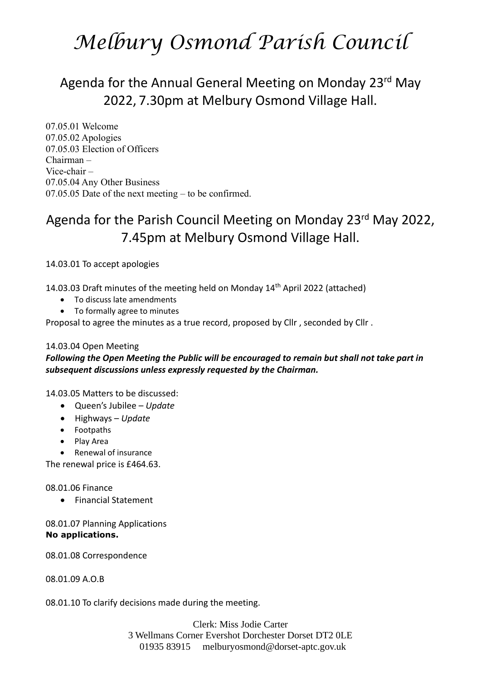# *Melbury Osmond Parish Council*

## Agenda for the Annual General Meeting on Monday 23<sup>rd</sup> May 2022, 7.30pm at Melbury Osmond Village Hall.

07.05.01 Welcome 07.05.02 Apologies 07.05.03 Election of Officers Chairman – Vice-chair – 07.05.04 Any Other Business 07.05.05 Date of the next meeting – to be confirmed.

### Agenda for the Parish Council Meeting on Monday 23<sup>rd</sup> May 2022, 7.45pm at Melbury Osmond Village Hall.

14.03.01 To accept apologies

14.03.03 Draft minutes of the meeting held on Monday 14th April 2022 (attached)

- To discuss late amendments
- To formally agree to minutes

Proposal to agree the minutes as a true record, proposed by Cllr , seconded by Cllr .

#### 14.03.04 Open Meeting

### *Following the Open Meeting the Public will be encouraged to remain but shall not take part in subsequent discussions unless expressly requested by the Chairman.*

14.03.05 Matters to be discussed:

- Queen's Jubilee *Update*
- Highways *Update*
- Footpaths
- Play Area
- Renewal of insurance

The renewal price is £464.63.

#### 08.01.06 Finance

• Financial Statement

08.01.07 Planning Applications **No applications.** 

08.01.08 Correspondence

08.01.09 A.O.B

08.01.10 To clarify decisions made during the meeting.

Clerk: Miss Jodie Carter 3 Wellmans Corner Evershot Dorchester Dorset DT2 0LE 01935 83915 [melburyosmond@dorset-aptc.gov.uk](mailto:melburyosmond@dorset-aptc.gov.uk)